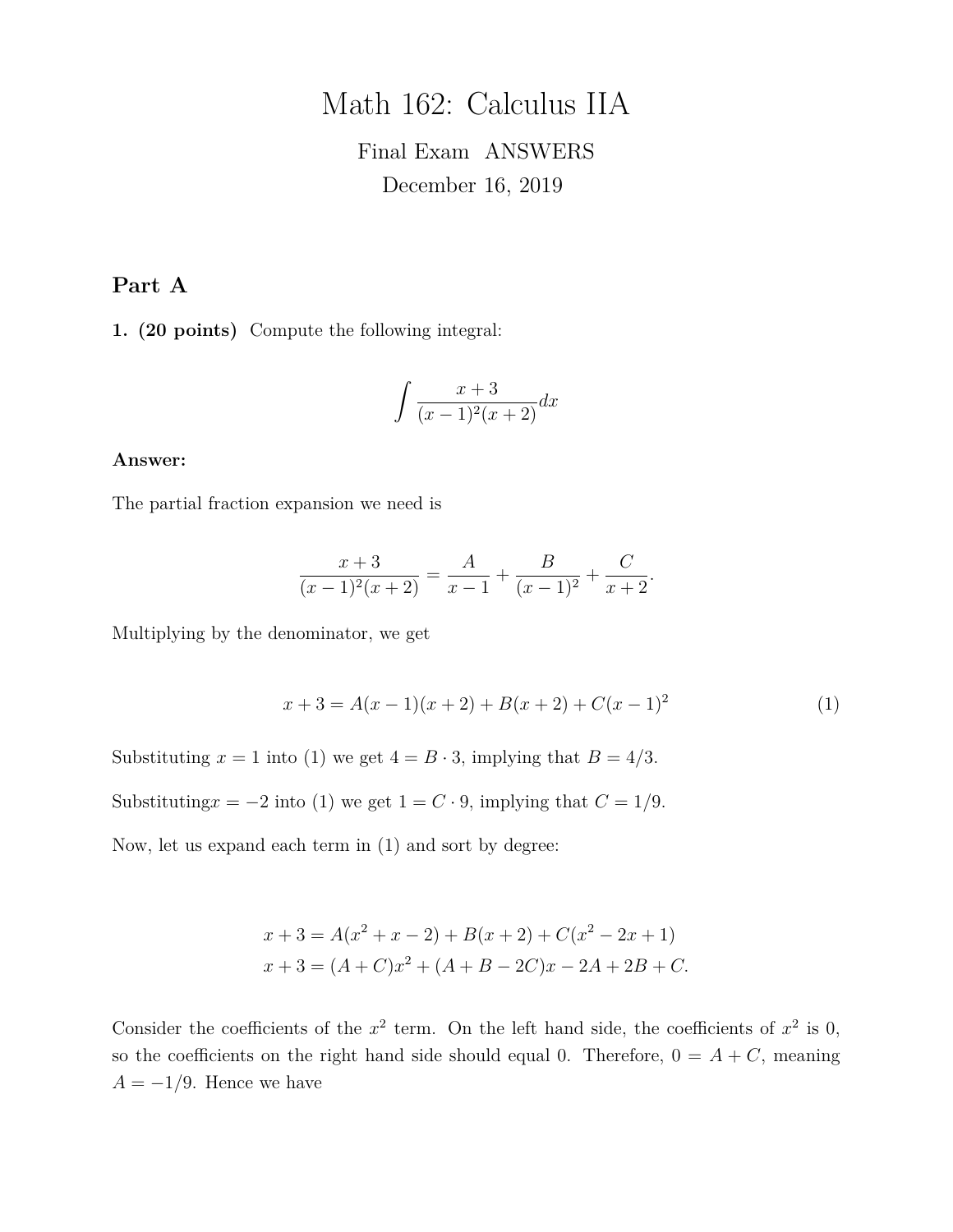# Math 162: Calculus IIA

# Final Exam ANSWERS December 16, 2019

# **Part A**

**1. (20 points)** Compute the following integral:

$$
\int \frac{x+3}{(x-1)^2(x+2)} dx
$$

#### **Answer:**

The partial fraction expansion we need is

$$
\frac{x+3}{(x-1)^2(x+2)} = \frac{A}{x-1} + \frac{B}{(x-1)^2} + \frac{C}{x+2}.
$$

Multiplying by the denominator, we get

$$
x + 3 = A(x - 1)(x + 2) + B(x + 2) + C(x - 1)^{2}
$$
\n(1)

Substituting  $x = 1$  into (1) we get  $4 = B \cdot 3$ , implying that  $B = 4/3$ .

Substituting $x = -2$  into (1) we get  $1 = C \cdot 9$ , implying that  $C = 1/9$ .

Now, let us expand each term in (1) and sort by degree:

$$
x + 3 = A(x2 + x - 2) + B(x + 2) + C(x2 - 2x + 1)
$$
  

$$
x + 3 = (A + C)x2 + (A + B - 2C)x - 2A + 2B + C.
$$

Consider the coefficients of the  $x^2$  term. On the left hand side, the coefficients of  $x^2$  is 0, so the coefficients on the right hand side should equal 0. Therefore,  $0 = A + C$ , meaning  $A = -1/9$ . Hence we have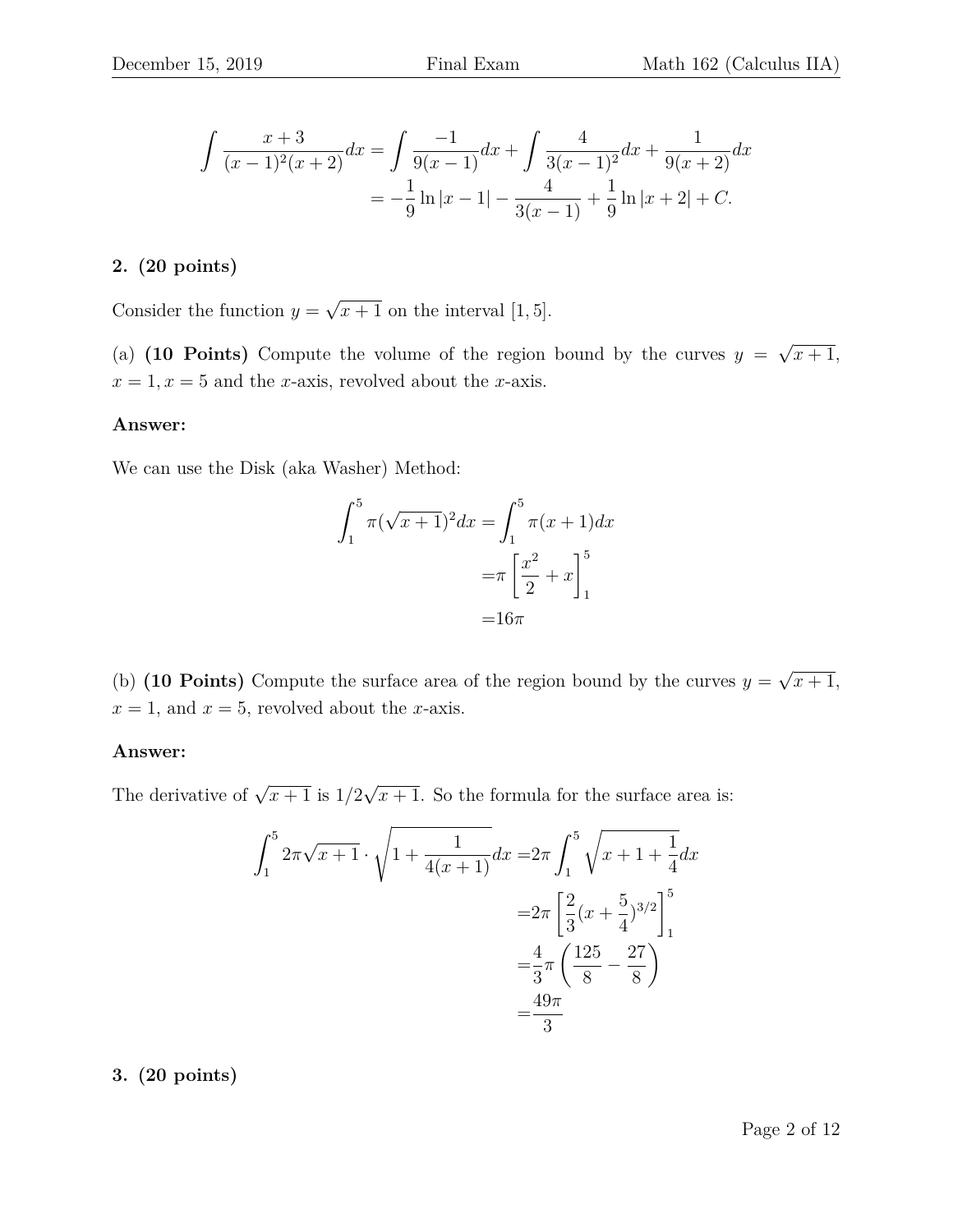$$
\int \frac{x+3}{(x-1)^2(x+2)} dx = \int \frac{-1}{9(x-1)} dx + \int \frac{4}{3(x-1)^2} dx + \frac{1}{9(x+2)} dx
$$

$$
= -\frac{1}{9} \ln|x-1| - \frac{4}{3(x-1)} + \frac{1}{9} \ln|x+2| + C.
$$

#### **2. (20 points)**

Consider the function  $y =$ √  $\overline{x+1}$  on the interval [1, 5].

(a)  $(10 \text{ Points})$  Compute the volume of the region bound by the curves  $y =$ √  $x+1,$  $x = 1, x = 5$  and the x-axis, revolved about the x-axis.

#### **Answer:**

We can use the Disk (aka Washer) Method:

$$
\int_{1}^{5} \pi(\sqrt{x+1})^2 dx = \int_{1}^{5} \pi(x+1) dx
$$

$$
= \pi \left[ \frac{x^2}{2} + x \right]_{1}^{5}
$$

$$
= 16\pi
$$

(b) **(10 Points)** Compute the surface area of the region bound by the curves  $y =$ √  $\overline{x+1},$  $x = 1$ , and  $x = 5$ , revolved about the *x*-axis.

#### **Answer:**

The derivative of  $\sqrt{x+1}$  is  $1/2$ √  $\overline{x+1}$ . So the formula for the surface area is:

$$
\int_{1}^{5} 2\pi \sqrt{x+1} \cdot \sqrt{1 + \frac{1}{4(x+1)}} dx = 2\pi \int_{1}^{5} \sqrt{x+1 + \frac{1}{4}} dx
$$

$$
= 2\pi \left[ \frac{2}{3} (x + \frac{5}{4})^{3/2} \right]_{1}^{5}
$$

$$
= \frac{4}{3} \pi \left( \frac{125}{8} - \frac{27}{8} \right)
$$

$$
= \frac{49\pi}{3}
$$

#### **3. (20 points)**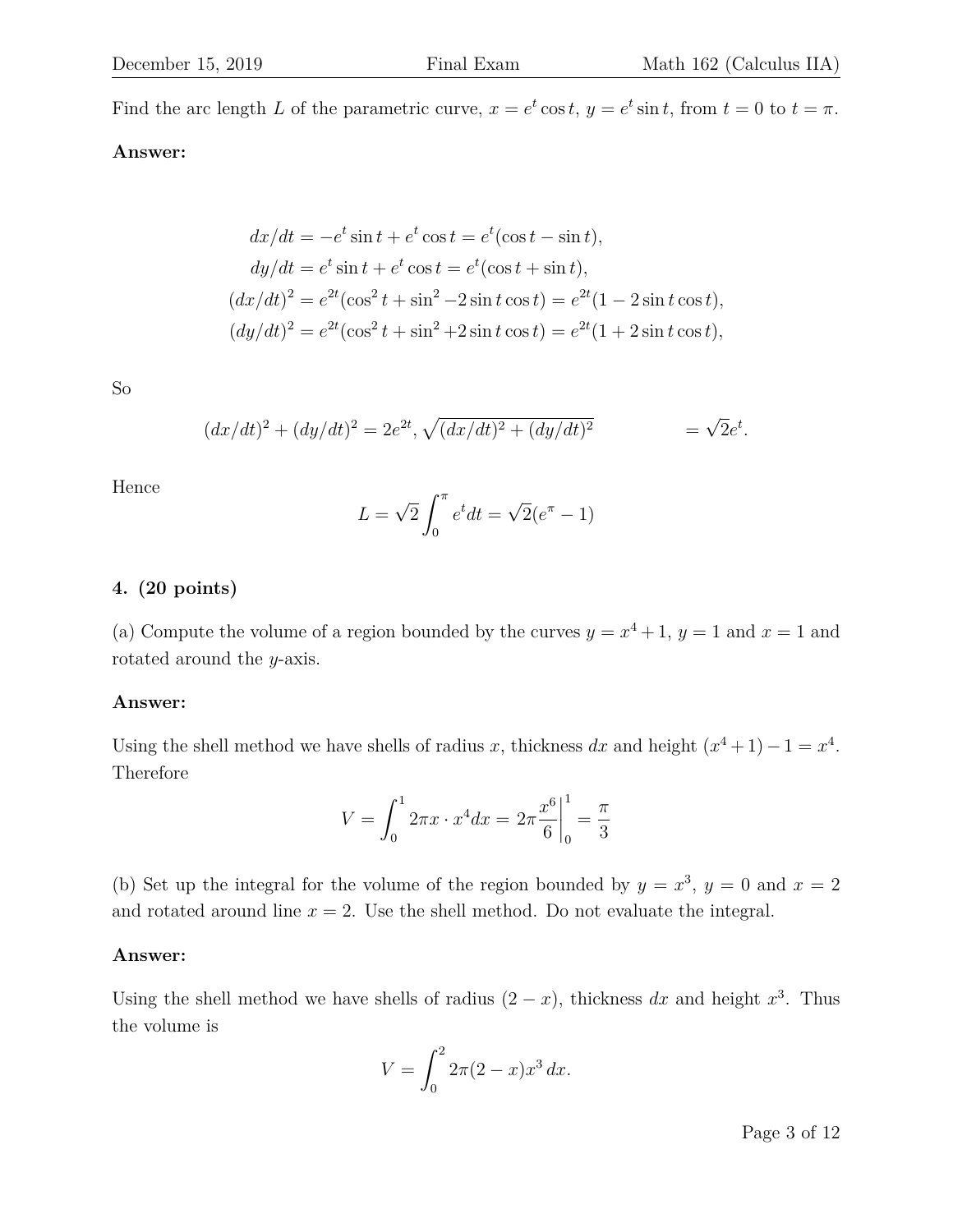Find the arc length L of the parametric curve,  $x = e^t \cos t$ ,  $y = e^t \sin t$ , from  $t = 0$  to  $t = \pi$ .

# **Answer:**

$$
dx/dt = -e^t \sin t + e^t \cos t = e^t (\cos t - \sin t),
$$
  
\n
$$
dy/dt = e^t \sin t + e^t \cos t = e^t (\cos t + \sin t),
$$
  
\n
$$
(dx/dt)^2 = e^{2t} (\cos^2 t + \sin^2 - 2 \sin t \cos t) = e^{2t} (1 - 2 \sin t \cos t),
$$
  
\n
$$
(dy/dt)^2 = e^{2t} (\cos^2 t + \sin^2 t + 2 \sin t \cos t) = e^{2t} (1 + 2 \sin t \cos t),
$$

So

$$
(dx/dt)^{2} + (dy/dt)^{2} = 2e^{2t}, \sqrt{(dx/dt)^{2} + (dy/dt)^{2}} = \sqrt{2}e^{t}.
$$

Hence

$$
L = \sqrt{2} \int_0^{\pi} e^t dt = \sqrt{2} (e^{\pi} - 1)
$$

#### **4. (20 points)**

(a) Compute the volume of a region bounded by the curves  $y = x^4 + 1$ ,  $y = 1$  and  $x = 1$  and rotated around the y-axis.

#### **Answer:**

Using the shell method we have shells of radius x, thickness dx and height  $(x^4 + 1) - 1 = x^4$ . Therefore

$$
V = \int_0^1 2\pi x \cdot x^4 dx = 2\pi \frac{x^6}{6} \bigg|_0^1 = \frac{\pi}{3}
$$

(b) Set up the integral for the volume of the region bounded by  $y = x^3$ ,  $y = 0$  and  $x = 2$ and rotated around line  $x = 2$ . Use the shell method. Do not evaluate the integral.

#### **Answer:**

Using the shell method we have shells of radius  $(2-x)$ , thickness dx and height  $x^3$ . Thus the volume is

$$
V = \int_0^2 2\pi (2 - x) x^3 \, dx.
$$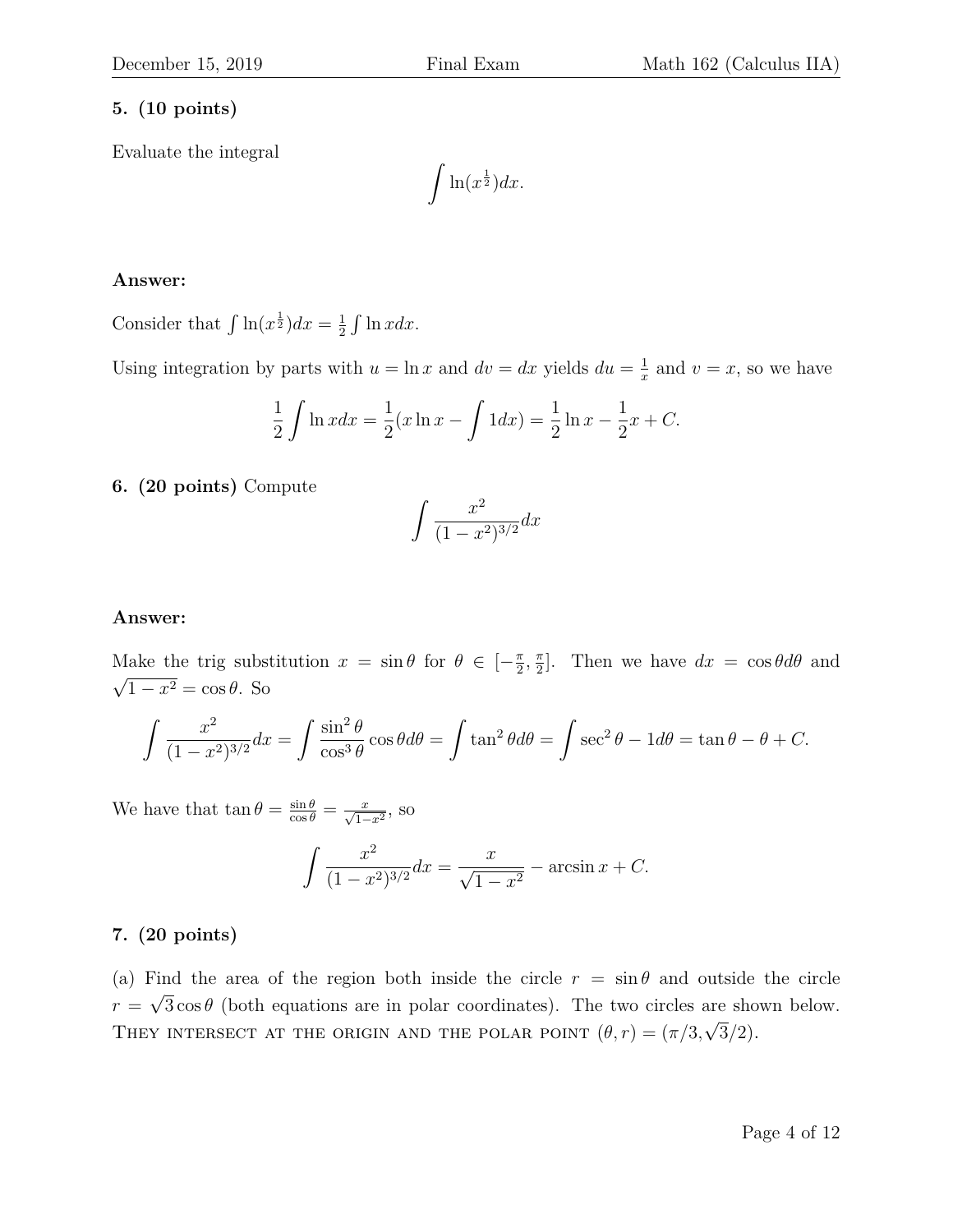# **5. (10 points)**

Evaluate the integral

 $\int \ln(x^{\frac{1}{2}}) dx.$ 

# **Answer:**

Consider that  $\int \ln(x^{\frac{1}{2}})dx = \frac{1}{2}$  $rac{1}{2} \int \ln x dx$ .

Using integration by parts with  $u = \ln x$  and  $dv = dx$  yields  $du = \frac{1}{x}$  $\frac{1}{x}$  and  $v = x$ , so we have

$$
\frac{1}{2}\int \ln x dx = \frac{1}{2}(x \ln x - \int 1 dx) = \frac{1}{2}\ln x - \frac{1}{2}x + C.
$$

# **6. (20 points)** Compute

$$
\int \frac{x^2}{(1-x^2)^{3/2}} dx
$$

#### **Answer:**

Make the trig substitution  $x = \sin \theta$  for  $\theta \in \left[-\frac{\pi}{2}\right]$  $\frac{\pi}{2}$ ,  $\frac{\pi}{2}$ Make the trig substitution  $x = \sin \theta$  for  $\theta \in [-\frac{\pi}{2}, \frac{\pi}{2}]$ . Then we have  $dx = \cos \theta d\theta$  and  $1 - x^2 = \cos \theta$ . So

$$
\int \frac{x^2}{(1-x^2)^{3/2}} dx = \int \frac{\sin^2 \theta}{\cos^3 \theta} \cos \theta d\theta = \int \tan^2 \theta d\theta = \int \sec^2 \theta - 1 d\theta = \tan \theta - \theta + C.
$$

We have that  $\tan \theta = \frac{\sin \theta}{\cos \theta} = \frac{x}{\sqrt{1-x^2}}$ , so

$$
\int \frac{x^2}{(1-x^2)^{3/2}} dx = \frac{x}{\sqrt{1-x^2}} - \arcsin x + C.
$$

# **7. (20 points)**

(a) Find the area of the region both inside the circle  $r = \sin \theta$  and outside the circle  $r = \sqrt{3} \cos \theta$  (both equations are in polar coordinates). The two circles are shown below. THEY INTERSECT AT THE ORIGIN AND THE POLAR POINT  $(\theta, r) = (\pi/3, \sqrt{3}/2)$ .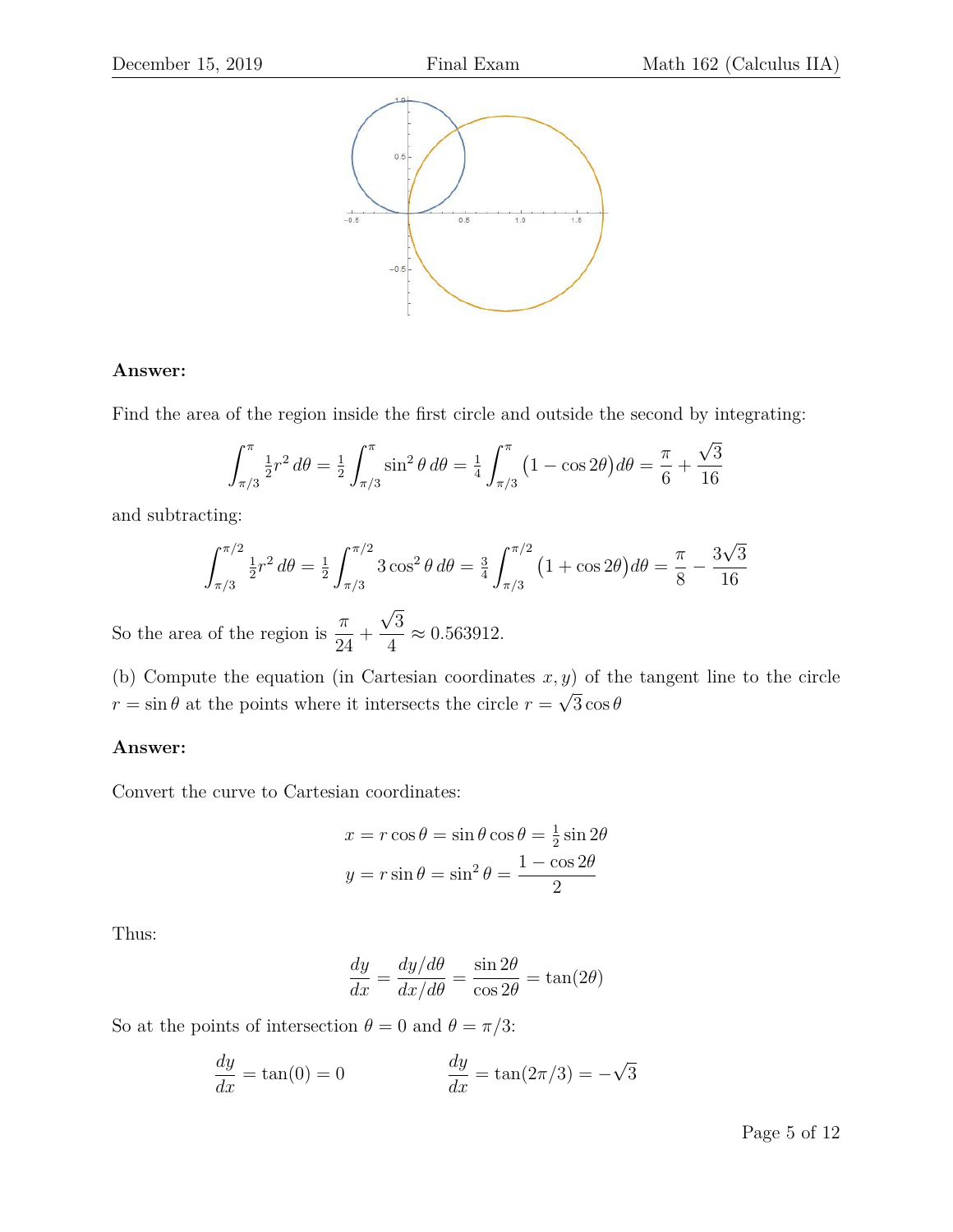

# **Answer:**

Find the area of the region inside the first circle and outside the second by integrating:

$$
\int_{\pi/3}^{\pi} \frac{1}{2} r^2 d\theta = \frac{1}{2} \int_{\pi/3}^{\pi} \sin^2 \theta d\theta = \frac{1}{4} \int_{\pi/3}^{\pi} (1 - \cos 2\theta) d\theta = \frac{\pi}{6} + \frac{\sqrt{3}}{16}
$$

and subtracting:

$$
\int_{\pi/3}^{\pi/2} \frac{1}{2} r^2 d\theta = \frac{1}{2} \int_{\pi/3}^{\pi/2} 3 \cos^2 \theta d\theta = \frac{3}{4} \int_{\pi/3}^{\pi/2} (1 + \cos 2\theta) d\theta = \frac{\pi}{8} - \frac{3\sqrt{3}}{16}
$$

So the area of the region is  $\frac{\pi}{2}$ 24  $+$ √ 3 4  $\approx 0.563912.$ 

(b) Compute the equation (in Cartesian coordinates  $x, y$ ) of the tangent line to the circle  $r = \sin \theta$  at the points where it intersects the circle  $r =$  $\frac{9}{4}$  $3\cos\theta$ 

# **Answer:**

Convert the curve to Cartesian coordinates:

$$
x = r\cos\theta = \sin\theta\cos\theta = \frac{1}{2}\sin 2\theta
$$

$$
y = r\sin\theta = \sin^2\theta = \frac{1 - \cos 2\theta}{2}
$$

Thus:

$$
\frac{dy}{dx} = \frac{dy/d\theta}{dx/d\theta} = \frac{\sin 2\theta}{\cos 2\theta} = \tan(2\theta)
$$

So at the points of intersection  $\theta=0$  and  $\theta=\pi/3:$ 

$$
\frac{dy}{dx} = \tan(0) = 0
$$
\n
$$
\frac{dy}{dx} = \tan(2\pi/3) = -\sqrt{3}
$$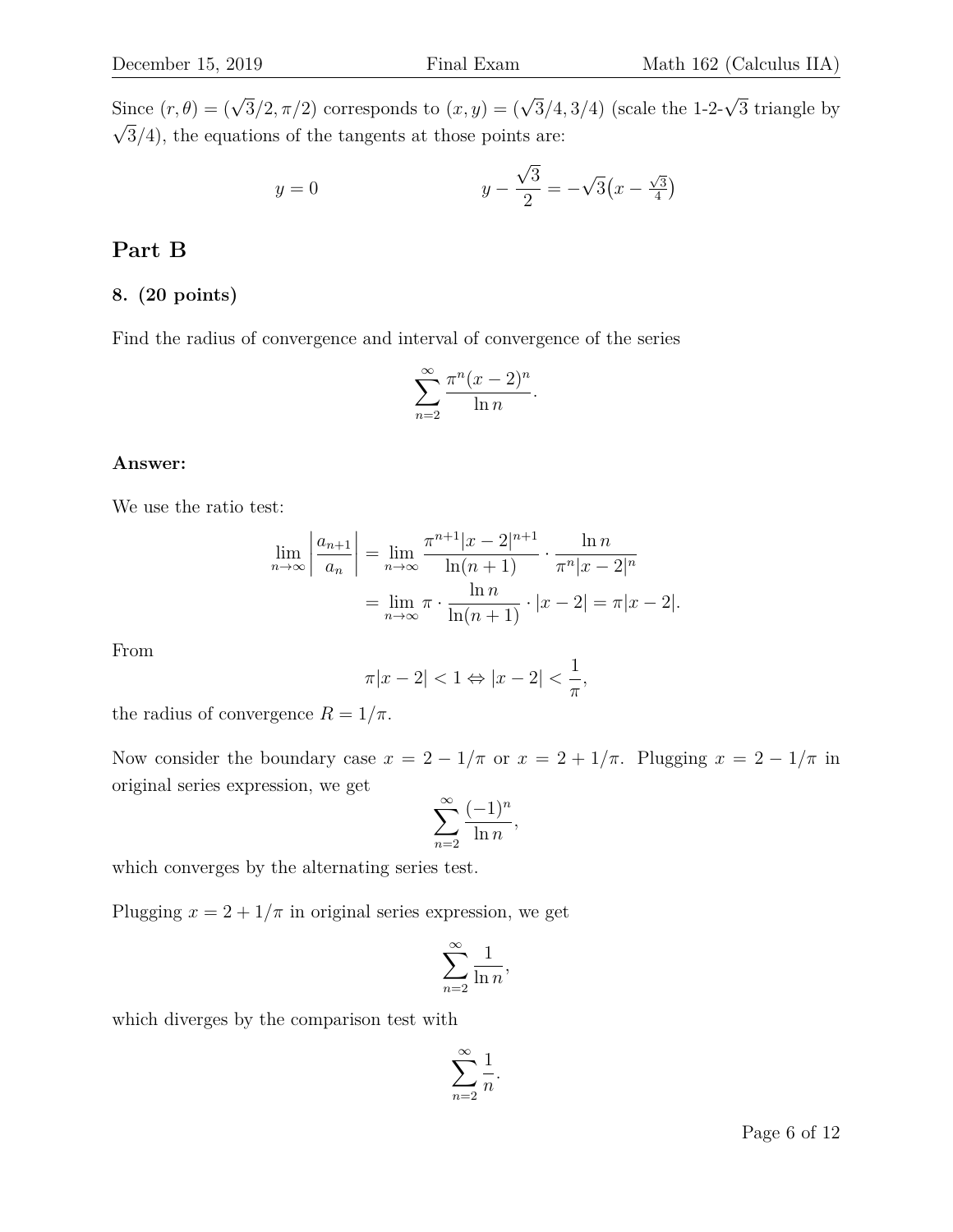Since  $(r, \theta) = (\sqrt{3}/2, \pi/2)$  corresponds to  $(x, y) = (\sqrt{3}/4, 3/4)$  (scale the 1-2- $\sqrt{3}$  triangle by  $\sqrt{3}/4$ , the equations of the tangents at those points are:

$$
y = 0
$$
  $y - \frac{\sqrt{3}}{2} = -\sqrt{3}(x - \frac{\sqrt{3}}{4})$ 

# **Part B**

# **8. (20 points)**

Find the radius of convergence and interval of convergence of the series

$$
\sum_{n=2}^{\infty} \frac{\pi^n (x-2)^n}{\ln n}.
$$

#### **Answer:**

We use the ratio test:

$$
\lim_{n \to \infty} \left| \frac{a_{n+1}}{a_n} \right| = \lim_{n \to \infty} \frac{\pi^{n+1} |x - 2|^{n+1}}{\ln(n+1)} \cdot \frac{\ln n}{\pi^n |x - 2|^n}
$$

$$
= \lim_{n \to \infty} \pi \cdot \frac{\ln n}{\ln(n+1)} \cdot |x - 2| = \pi |x - 2|.
$$

From

$$
\pi |x-2|<1\Leftrightarrow |x-2|<\frac{1}{\pi},
$$

the radius of convergence  $R = 1/\pi$ .

Now consider the boundary case  $x = 2 - 1/\pi$  or  $x = 2 + 1/\pi$ . Plugging  $x = 2 - 1/\pi$  in original series expression, we get

$$
\sum_{n=2}^{\infty} \frac{(-1)^n}{\ln n},
$$

which converges by the alternating series test.

Plugging  $x = 2 + 1/\pi$  in original series expression, we get

$$
\sum_{n=2}^{\infty} \frac{1}{\ln n},
$$

which diverges by the comparison test with

$$
\sum_{n=2}^{\infty} \frac{1}{n}.
$$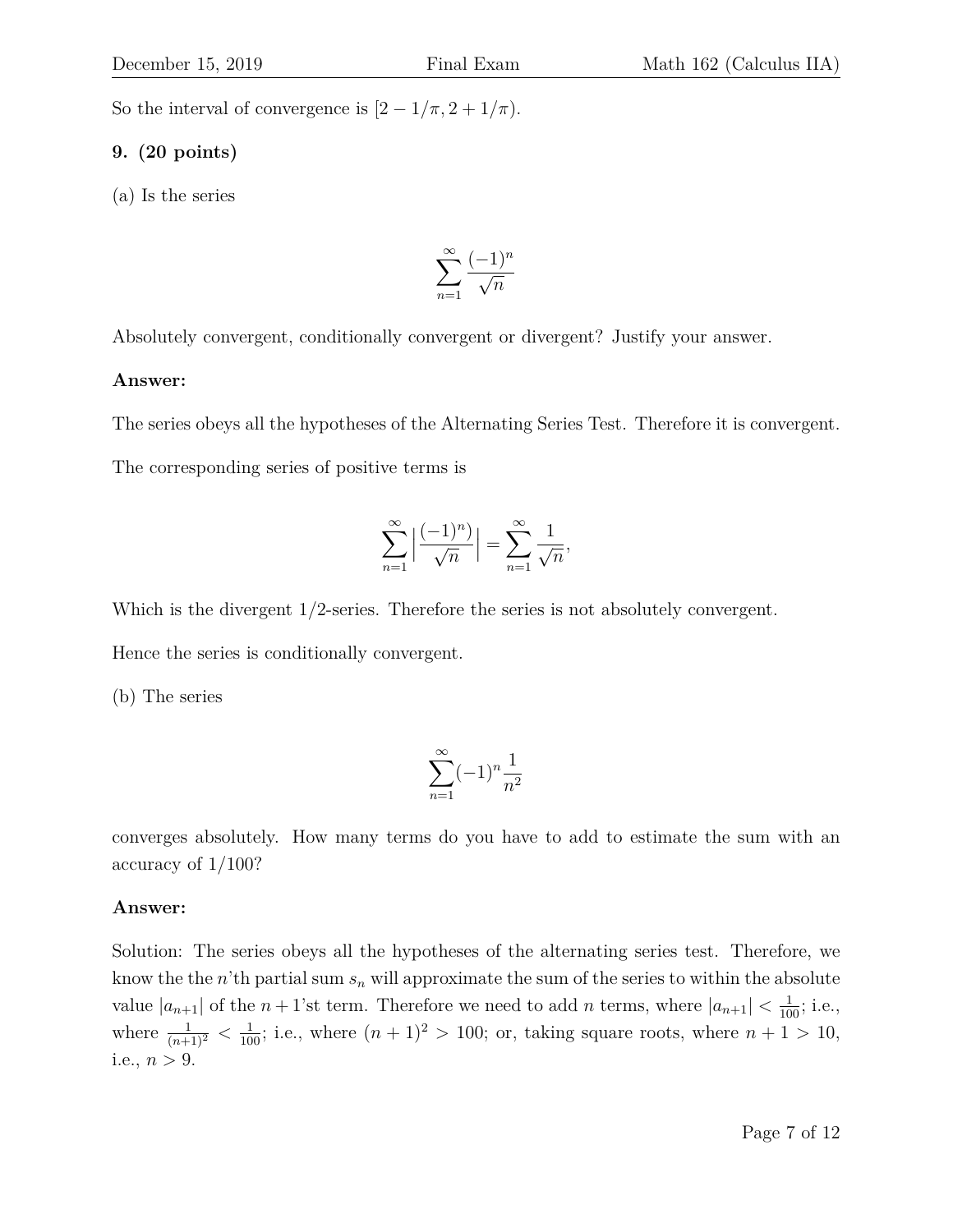So the interval of convergence is  $[2 - 1/\pi, 2 + 1/\pi)$ .

# **9. (20 points)**

(a) Is the series

$$
\sum_{n=1}^\infty \frac{(-1)^n}{\sqrt{n}}
$$

Absolutely convergent, conditionally convergent or divergent? Justify your answer.

# **Answer:**

The series obeys all the hypotheses of the Alternating Series Test. Therefore it is convergent.

The corresponding series of positive terms is

$$
\sum_{n=1}^{\infty} \left| \frac{(-1)^n}{\sqrt{n}} \right| = \sum_{n=1}^{\infty} \frac{1}{\sqrt{n}},
$$

Which is the divergent  $1/2$ -series. Therefore the series is not absolutely convergent.

Hence the series is conditionally convergent.

(b) The series

$$
\sum_{n=1}^{\infty} (-1)^n \frac{1}{n^2}
$$

converges absolutely. How many terms do you have to add to estimate the sum with an accuracy of 1/100?

# **Answer:**

Solution: The series obeys all the hypotheses of the alternating series test. Therefore, we know the the n'th partial sum  $s_n$  will approximate the sum of the series to within the absolute value  $|a_{n+1}|$  of the  $n+1$ 'st term. Therefore we need to add n terms, where  $|a_{n+1}| < \frac{1}{100}$ ; i.e., where  $\frac{1}{(n+1)^2} < \frac{1}{100}$ ; i.e., where  $(n+1)^2 > 100$ ; or, taking square roots, where  $n+1 > 10$ , i.e.,  $n > 9$ .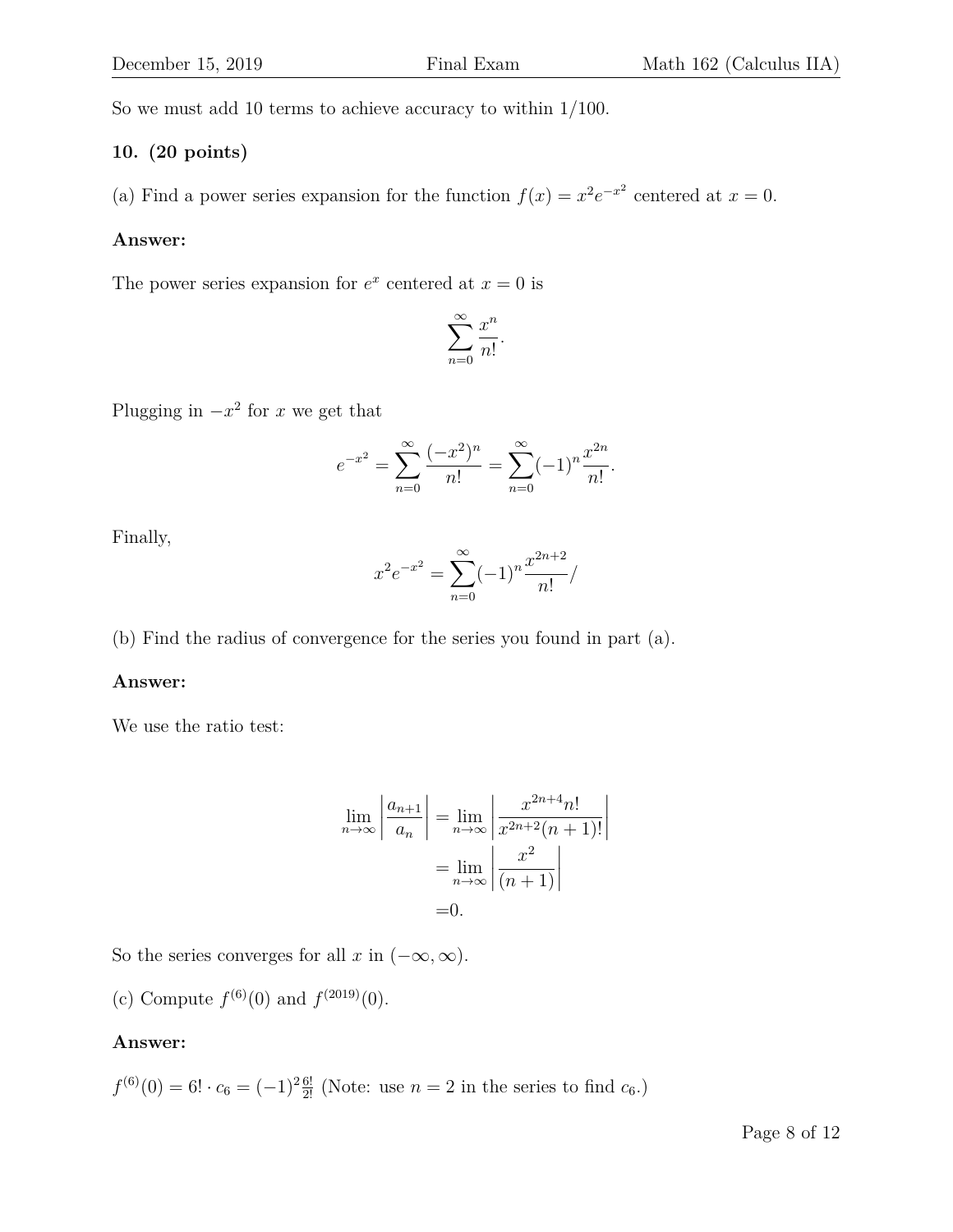So we must add 10 terms to achieve accuracy to within 1/100.

#### **10. (20 points)**

(a) Find a power series expansion for the function  $f(x) = x^2 e^{-x^2}$  centered at  $x = 0$ .

#### **Answer:**

The power series expansion for  $e^x$  centered at  $x = 0$  is

$$
\sum_{n=0}^{\infty} \frac{x^n}{n!}.
$$

Plugging in  $-x^2$  for x we get that

$$
e^{-x^{2}} = \sum_{n=0}^{\infty} \frac{(-x^{2})^{n}}{n!} = \sum_{n=0}^{\infty} (-1)^{n} \frac{x^{2n}}{n!}.
$$

Finally,

$$
x^{2}e^{-x^{2}} = \sum_{n=0}^{\infty} (-1)^{n} \frac{x^{2n+2}}{n!} /
$$

(b) Find the radius of convergence for the series you found in part (a).

#### **Answer:**

We use the ratio test:

$$
\lim_{n \to \infty} \left| \frac{a_{n+1}}{a_n} \right| = \lim_{n \to \infty} \left| \frac{x^{2n+4} n!}{x^{2n+2} (n+1)!} \right|
$$

$$
= \lim_{n \to \infty} \left| \frac{x^2}{(n+1)} \right|
$$

$$
= 0.
$$

So the series converges for all x in  $(-\infty, \infty)$ .

(c) Compute  $f^{(6)}(0)$  and  $f^{(2019)}(0)$ .

#### **Answer:**

$$
f^{(6)}(0) = 6! \cdot c_6 = (-1)^{2} \frac{6!}{2!}
$$
 (Note: use  $n = 2$  in the series to find  $c_6$ .)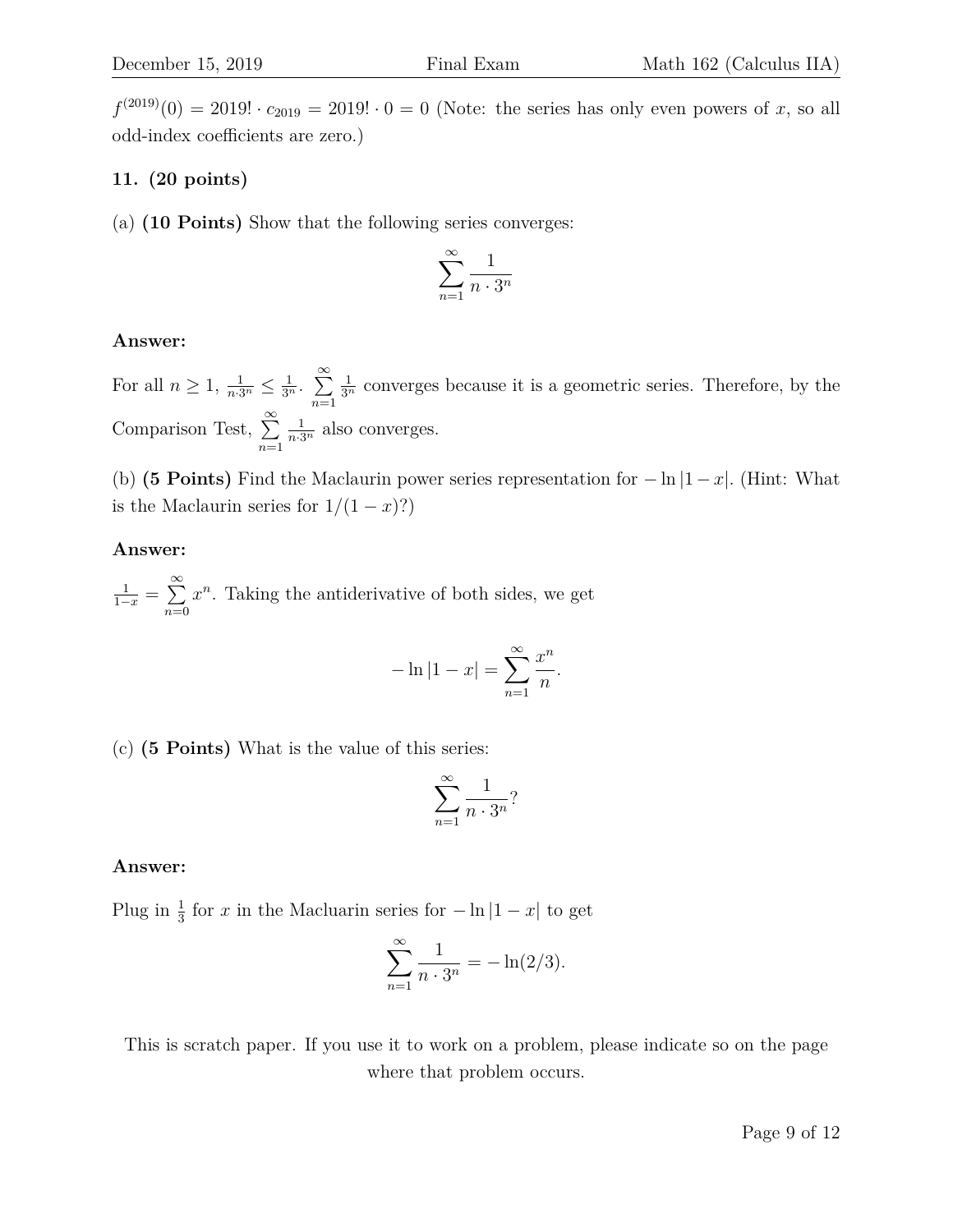$f^{(2019)}(0) = 2019! \cdot c_{2019} = 2019! \cdot 0 = 0$  (Note: the series has only even powers of x, so all odd-index coefficients are zero.)

# **11. (20 points)**

(a) **(10 Points)** Show that the following series converges:

$$
\sum_{n=1}^{\infty} \frac{1}{n \cdot 3^n}
$$

# **Answer:**

For all  $n \geq 1, \frac{1}{n \cdot 3^n} \leq \frac{1}{3^n}$ .  $\sum_{n=1}^{\infty}$  $n=1$  $\frac{1}{3^n}$  converges because it is a geometric series. Therefore, by the Comparison Test,  $\sum_{n=1}^{\infty}$  $n=1$  $\frac{1}{n \cdot 3^n}$  also converges.

(b) **(5 Points)** Find the Maclaurin power series representation for  $-\ln|1-x|$ . (Hint: What is the Maclaurin series for  $1/(1-x)$ ?)

# **Answer:**

 $\frac{1}{1-x} = \sum_{1}^{\infty}$  $n=0$  $x^n$ . Taking the antiderivative of both sides, we get

$$
-\ln|1 - x| = \sum_{n=1}^{\infty} \frac{x^n}{n}.
$$

(c) **(5 Points)** What is the value of this series:

$$
\sum_{n=1}^{\infty} \frac{1}{n \cdot 3^n}
$$
?

# **Answer:**

Plug in  $\frac{1}{3}$  for x in the Macluarin series for  $-\ln|1-x|$  to get

$$
\sum_{n=1}^{\infty} \frac{1}{n \cdot 3^n} = -\ln(2/3).
$$

This is scratch paper. If you use it to work on a problem, please indicate so on the page where that problem occurs.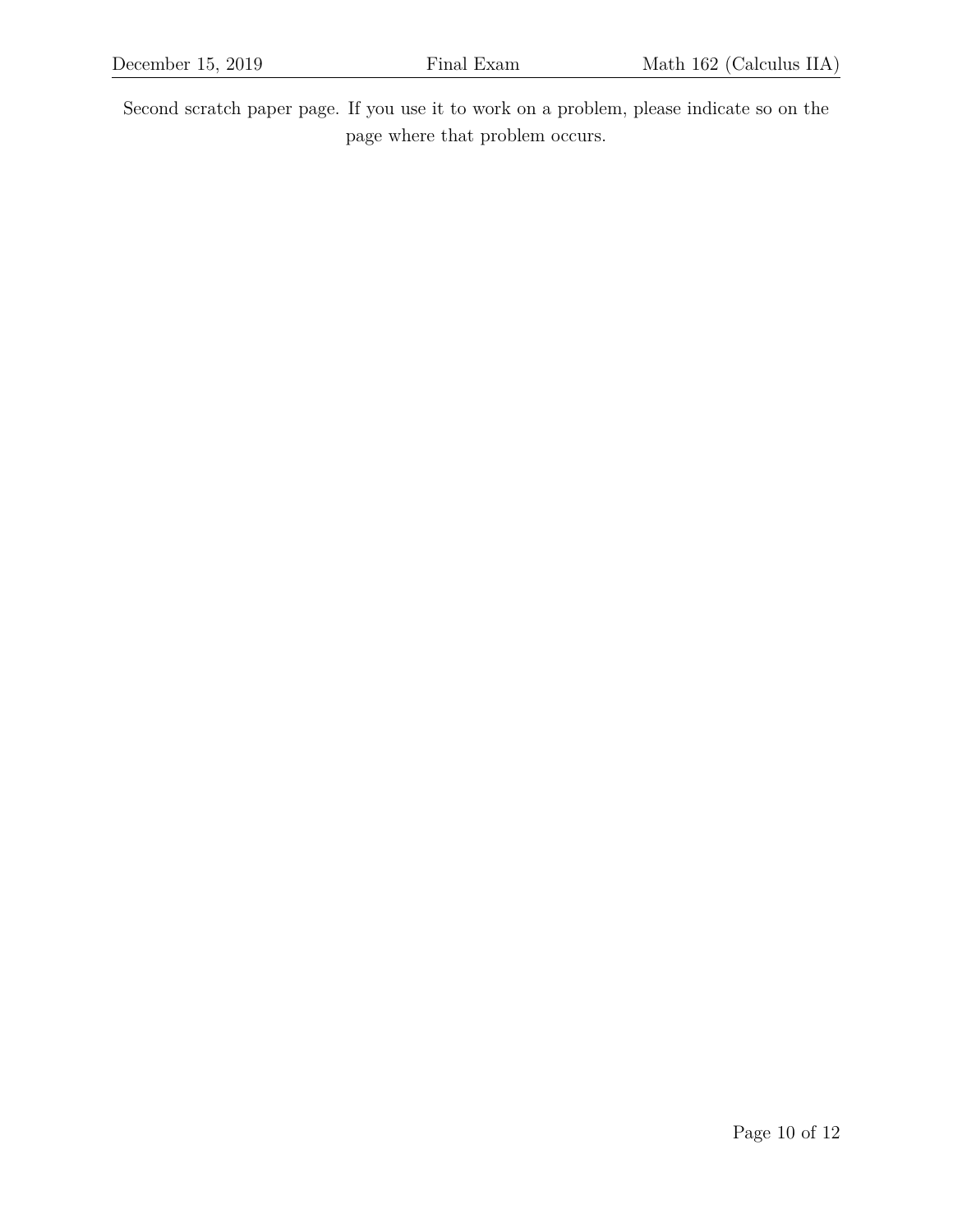Second scratch paper page. If you use it to work on a problem, please indicate so on the page where that problem occurs.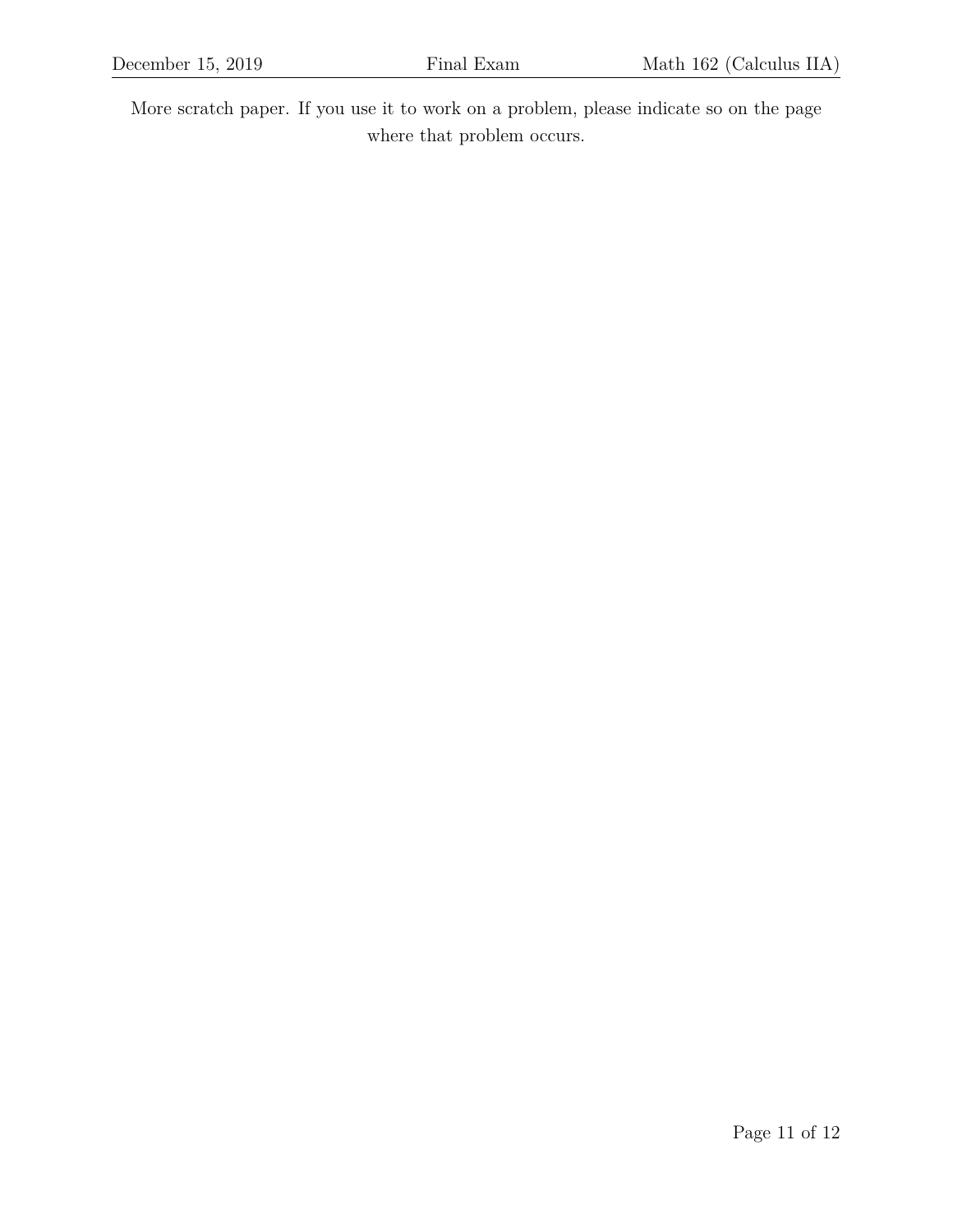More scratch paper. If you use it to work on a problem, please indicate so on the page where that problem occurs.